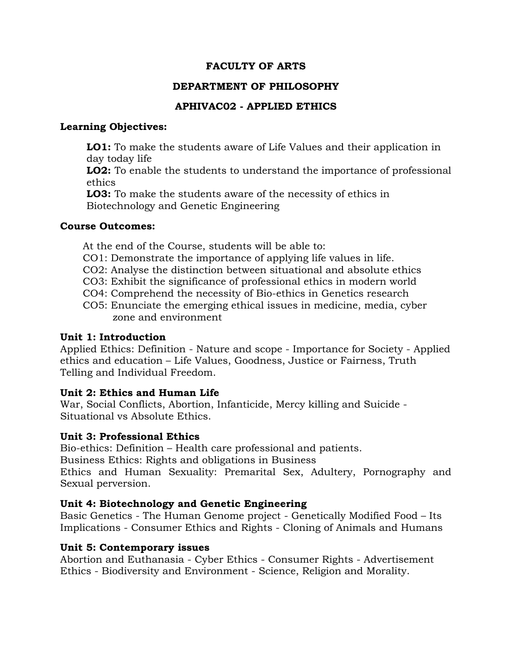#### **FACULTY OF ARTS**

#### **DEPARTMENT OF PHILOSOPHY**

## **APHIVAC02 - APPLIED ETHICS**

#### **Learning Objectives:**

**LO1:** To make the students aware of Life Values and their application in day today life

**LO2:** To enable the students to understand the importance of professional ethics

**LO3:** To make the students aware of the necessity of ethics in Biotechnology and Genetic Engineering

#### **Course Outcomes:**

At the end of the Course, students will be able to:

- CO1: Demonstrate the importance of applying life values in life.
- CO2: Analyse the distinction between situational and absolute ethics
- CO3: Exhibit the significance of professional ethics in modern world
- CO4: Comprehend the necessity of Bio-ethics in Genetics research
- CO5: Enunciate the emerging ethical issues in medicine, media, cyber zone and environment

## **Unit 1: Introduction**

Applied Ethics: Definition - Nature and scope - Importance for Society - Applied ethics and education – Life Values, Goodness, Justice or Fairness, Truth Telling and Individual Freedom.

## **Unit 2: Ethics and Human Life**

War, Social Conflicts, Abortion, Infanticide, Mercy killing and Suicide - Situational vs Absolute Ethics.

## **Unit 3: Professional Ethics**

Bio-ethics: Definition – Health care professional and patients. Business Ethics: Rights and obligations in Business Ethics and Human Sexuality: Premarital Sex, Adultery, Pornography and Sexual perversion.

## **Unit 4: Biotechnology and Genetic Engineering**

Basic Genetics - The Human Genome project - Genetically Modified Food – Its Implications - Consumer Ethics and Rights - Cloning of Animals and Humans

## **Unit 5: Contemporary issues**

Abortion and Euthanasia - Cyber Ethics - Consumer Rights - Advertisement Ethics - Biodiversity and Environment - Science, Religion and Morality.